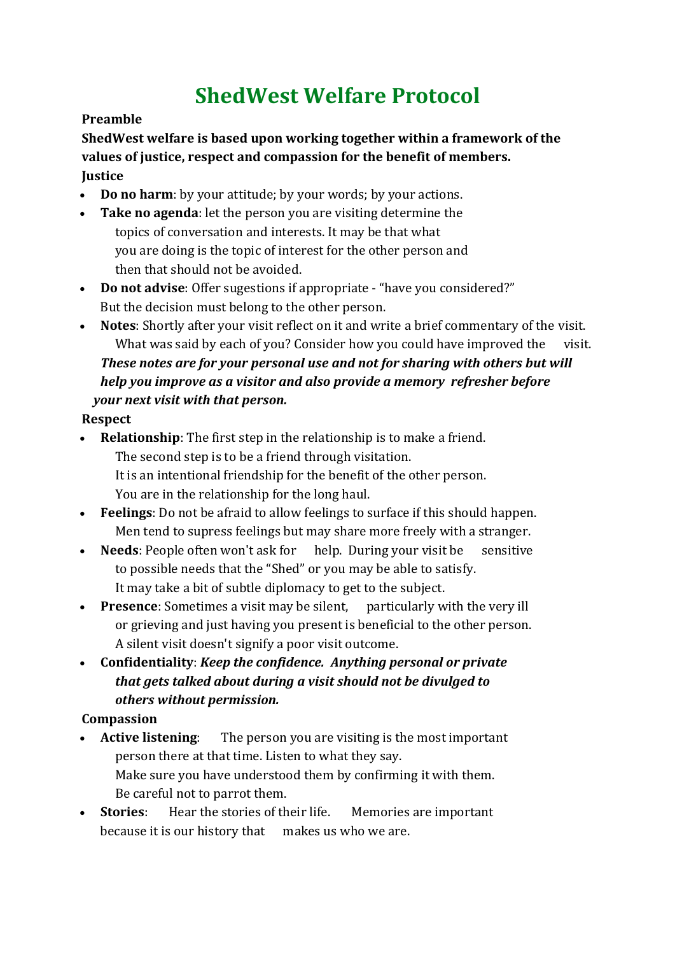# **ShedWest Welfare Protocol**

#### **Preamble**

**ShedWest welfare is based upon working together within a framework of the values of justice, respect and compassion for the benefit of members. Justice**

- **Do no harm**: by your attitude; by your words; by your actions.
- **Take no agenda**: let the person you are visiting determine the topics of conversation and interests. It may be that what you are doing is the topic of interest for the other person and then that should not be avoided.
- **Do not advise**: Offer sugestions if appropriate "have you considered?" But the decision must belong to the other person.
- **Notes**: Shortly after your visit reflect on it and write a brief commentary of the visit. What was said by each of you? Consider how you could have improved the visit. *These notes are for your personal use and not for sharing with others but will help you improve as a visitor and also provide a memory refresher before your next visit with that person.*

#### **Respect**

- **Relationship**: The first step in the relationship is to make a friend. The second step is to be a friend through visitation. It is an intentional friendship for the benefit of the other person. You are in the relationship for the long haul.
- **Feelings**: Do not be afraid to allow feelings to surface if this should happen. Men tend to supress feelings but may share more freely with a stranger.
- **Needs:** People often won't ask for help. During your visit be sensitive to possible needs that the "Shed" or you may be able to satisfy. It may take a bit of subtle diplomacy to get to the subject.
- **Presence**: Sometimes a visit may be silent, particularly with the very ill or grieving and just having you present is beneficial to the other person. A silent visit doesn't signify a poor visit outcome.
- **Confidentiality**: *Keep the confidence. Anything personal or private that gets talked about during a visit should not be divulged to others without permission.*

#### **Compassion**

- **Active listening**: The person you are visiting is the most important person there at that time. Listen to what they say. Make sure you have understood them by confirming it with them. Be careful not to parrot them.
- **Stories:** Hear the stories of their life. Memories are important because it is our history that makes us who we are.